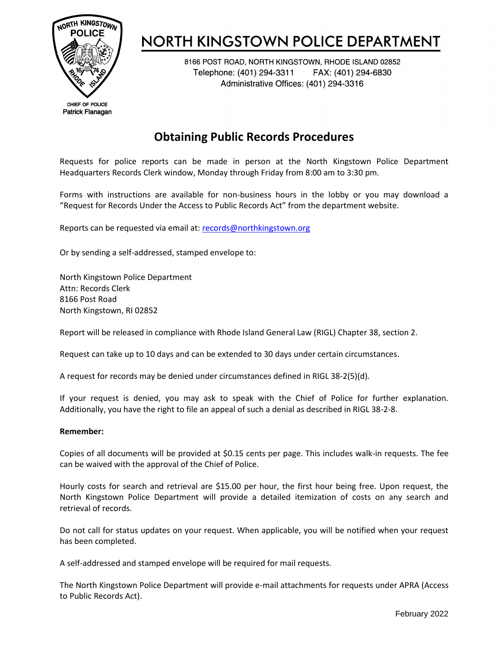

# **NORTH KINGSTOWN POLICE DEPARTMENT**

8166 POST ROAD, NORTH KINGSTOWN, RHODE ISLAND 02852 Telephone: (401) 294-3311 FAX: (401) 294-6830 Administrative Offices: (401) 294-3316

## **Obtaining Public Records Procedures**

Requests for police reports can be made in person at the North Kingstown Police Department Headquarters Records Clerk window, Monday through Friday from 8:00 am to 3:30 pm.

Forms with instructions are available for non-business hours in the lobby or you may download a "Request for Records Under the Access to Public Records Act" from the department website.

Reports can be requested via email at: [records@northkingstown.org](mailto:records@northkingstown.org)

Or by sending a self-addressed, stamped envelope to:

North Kingstown Police Department Attn: Records Clerk 8166 Post Road North Kingstown, RI 02852

Report will be released in compliance with Rhode Island General Law (RIGL) Chapter 38, section 2.

Request can take up to 10 days and can be extended to 30 days under certain circumstances.

A request for records may be denied under circumstances defined in RIGL 38-2(5)(d).

If your request is denied, you may ask to speak with the Chief of Police for further explanation. Additionally, you have the right to file an appeal of such a denial as described in RIGL 38-2-8.

#### **Remember:**

Copies of all documents will be provided at \$0.15 cents per page. This includes walk-in requests. The fee can be waived with the approval of the Chief of Police.

Hourly costs for search and retrieval are \$15.00 per hour, the first hour being free. Upon request, the North Kingstown Police Department will provide a detailed itemization of costs on any search and retrieval of records.

Do not call for status updates on your request. When applicable, you will be notified when your request has been completed.

A self-addressed and stamped envelope will be required for mail requests.

The North Kingstown Police Department will provide e-mail attachments for requests under APRA (Access to Public Records Act).